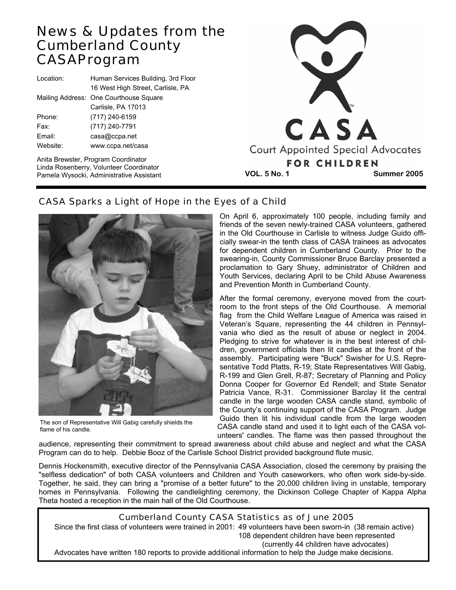## News & Updates from the Cumberland County CASA Program

| Location: | Human Services Building, 3rd Floor     |
|-----------|----------------------------------------|
|           | 16 West High Street, Carlisle, PA      |
|           | Mailing Address: One Courthouse Square |
|           | Carlisle, PA 17013                     |
| Phone:    | (717) 240-6159                         |
| Fax:      | (717) 240-7791                         |
| Email:    | casa@ccpa.net                          |
| Website:  | www.ccpa.net/casa                      |
|           |                                        |

Anita Brewster, Program Coordinator Linda Rosenberry, Volunteer Coordinator



The son of Representative Will Gabig carefully shields the flame of his candle.

## CASA Sparks a Light of Hope in the Eyes of a Child

On April 6, approximately 100 people, including family and friends of the seven newly-trained CASA volunteers, gathered in the Old Courthouse in Carlisle to witness Judge Guido officially swear-in the tenth class of CASA trainees as advocates for dependent children in Cumberland County. Prior to the swearing-in, County Commissioner Bruce Barclay presented a proclamation to Gary Shuey, administrator of Children and Youth Services, declaring April to be Child Abuse Awareness and Prevention Month in Cumberland County.

After the formal ceremony, everyone moved from the courtroom to the front steps of the Old Courthouse. A memorial flag from the Child Welfare League of America was raised in Veteran's Square, representing the 44 children in Pennsylvania who died as the result of abuse or neglect in 2004. Pledging to strive for whatever is in the best interest of children, government officials then lit candles at the front of the assembly. Participating were "Buck" Swisher for U.S. Representative Todd Platts, R-19; State Representatives Will Gabig, R-199 and Glen Grell, R-87; Secretary of Planning and Policy Donna Cooper for Governor Ed Rendell; and State Senator Patricia Vance, R-31. Commissioner Barclay lit the central candle in the large wooden CASA candle stand, symbolic of the County's continuing support of the CASA Program. Judge Guido then lit his individual candle from the large wooden CASA candle stand and used it to light each of the CASA volunteers' candles. The flame was then passed throughout the

audience, representing their commitment to spread awareness about child abuse and neglect and what the CASA Program can do to help. Debbie Booz of the Carlisle School District provided background flute music.

Dennis Hockensmith, executive director of the Pennsylvania CASA Association, closed the ceremony by praising the "selfless dedication" of both CASA volunteers and Children and Youth caseworkers, who often work side-by-side. Together, he said, they can bring a "promise of a better future" to the 20,000 children living in unstable, temporary homes in Pennsylvania. Following the candlelighting ceremony, the Dickinson College Chapter of Kappa Alpha Theta hosted a reception in the main hall of the Old Courthouse.

#### Cumberland County CASA Statistics as of June 2005

Since the first class of volunteers were trained in 2001: 49 volunteers have been sworn-in (38 remain active) 108 dependent children have been represented (currently 44 children have advocates)

Advocates have written 180 reports to provide additional information to help the Judge make decisions.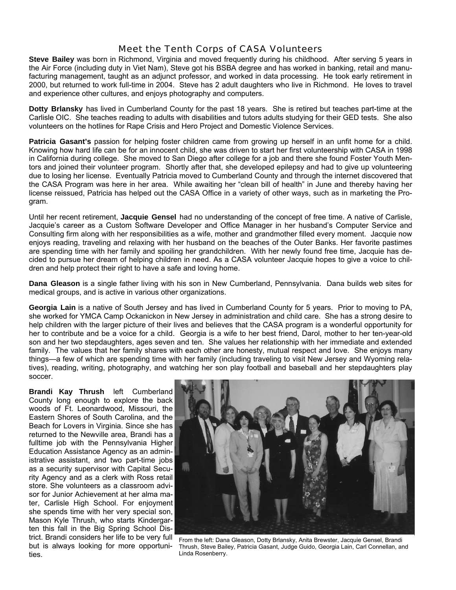### Meet the Tenth Corps of CASA Volunteers

**Steve Bailey** was born in Richmond, Virginia and moved frequently during his childhood. After serving 5 years in the Air Force (including duty in Viet Nam), Steve got his BSBA degree and has worked in banking, retail and manufacturing management, taught as an adjunct professor, and worked in data processing. He took early retirement in 2000, but returned to work full-time in 2004. Steve has 2 adult daughters who live in Richmond. He loves to travel and experience other cultures, and enjoys photography and computers.

**Dotty Brlansky** has lived in Cumberland County for the past 18 years. She is retired but teaches part-time at the Carlisle OIC. She teaches reading to adults with disabilities and tutors adults studying for their GED tests. She also volunteers on the hotlines for Rape Crisis and Hero Project and Domestic Violence Services.

Patricia Gasant's passion for helping foster children came from growing up herself in an unfit home for a child. Knowing how hard life can be for an innocent child, she was driven to start her first volunteership with CASA in 1998 in California during college. She moved to San Diego after college for a job and there she found Foster Youth Mentors and joined their volunteer program. Shortly after that, she developed epilepsy and had to give up volunteering due to losing her license. Eventually Patricia moved to Cumberland County and through the internet discovered that the CASA Program was here in her area. While awaiting her "clean bill of health" in June and thereby having her license reissued, Patricia has helped out the CASA Office in a variety of other ways, such as in marketing the Program.

Until her recent retirement, **Jacquie Gensel** had no understanding of the concept of free time. A native of Carlisle, Jacquie's career as a Custom Software Developer and Office Manager in her husband's Computer Service and Consulting firm along with her responsibilities as a wife, mother and grandmother filled every moment. Jacquie now enjoys reading, traveling and relaxing with her husband on the beaches of the Outer Banks. Her favorite pastimes are spending time with her family and spoiling her grandchildren. With her newly found free time, Jacquie has decided to pursue her dream of helping children in need. As a CASA volunteer Jacquie hopes to give a voice to children and help protect their right to have a safe and loving home.

**Dana Gleason** is a single father living with his son in New Cumberland, Pennsylvania. Dana builds web sites for medical groups, and is active in various other organizations.

**Georgia Lain** is a native of South Jersey and has lived in Cumberland County for 5 years. Prior to moving to PA, she worked for YMCA Camp Ockanickon in New Jersey in administration and child care. She has a strong desire to help children with the larger picture of their lives and believes that the CASA program is a wonderful opportunity for her to contribute and be a voice for a child. Georgia is a wife to her best friend, Darol, mother to her ten-year-old son and her two stepdaughters, ages seven and ten. She values her relationship with her immediate and extended family. The values that her family shares with each other are honesty, mutual respect and love. She enjoys many things—a few of which are spending time with her family (including traveling to visit New Jersey and Wyoming relatives), reading, writing, photography, and watching her son play football and baseball and her stepdaughters play soccer.

**Brandi Kay Thrush** left Cumberland County long enough to explore the back woods of Ft. Leonardwood, Missouri, the Eastern Shores of South Carolina, and the Beach for Lovers in Virginia. Since she has returned to the Newville area, Brandi has a fulltime job with the Pennsylvania Higher Education Assistance Agency as an administrative assistant, and two part-time jobs as a security supervisor with Capital Security Agency and as a clerk with Ross retail store. She volunteers as a classroom advisor for Junior Achievement at her alma mater, Carlisle High School. For enjoyment she spends time with her very special son, Mason Kyle Thrush, who starts Kindergarten this fall in the Big Spring School District. Brandi considers her life to be very full but is always looking for more opportunities.



From the left: Dana Gleason, Dotty Brlansky, Anita Brewster, Jacquie Gensel, Brandi Thrush, Steve Bailey, Patricia Gasant, Judge Guido, Georgia Lain, Carl Connellan, and Linda Rosenberry.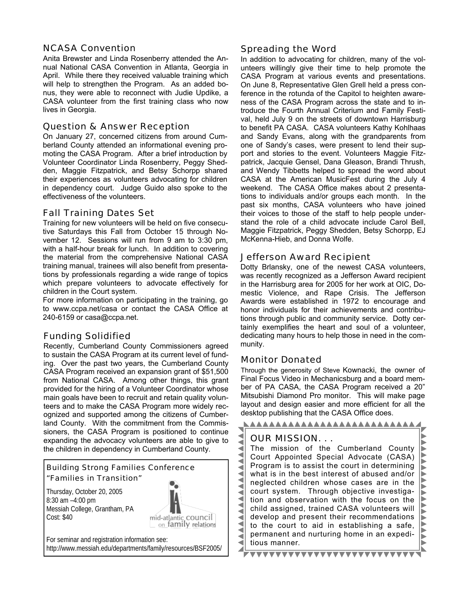#### NCASA Convention

Anita Brewster and Linda Rosenberry attended the Annual National CASA Convention in Atlanta, Georgia in April. While there they received valuable training which will help to strengthen the Program. As an added bonus, they were able to reconnect with Judie Updike, a CASA volunteer from the first training class who now lives in Georgia.

#### Question & Answer Reception

On January 27, concerned citizens from around Cumberland County attended an informational evening promoting the CASA Program. After a brief introduction by Volunteer Coordinator Linda Rosenberry, Peggy Shedden, Maggie Fitzpatrick, and Betsy Schorpp shared their experiences as volunteers advocating for children in dependency court. Judge Guido also spoke to the effectiveness of the volunteers.

#### Fall Training Dates Set

Training for new volunteers will be held on five consecutive Saturdays this Fall from October 15 through November 12. Sessions will run from 9 am to 3:30 pm, with a half-hour break for lunch. In addition to covering the material from the comprehensive National CASA training manual, trainees will also benefit from presentations by professionals regarding a wide range of topics which prepare volunteers to advocate effectively for children in the Court system.

For more information on participating in the training, go to www.ccpa.net/casa or contact the CASA Office at 240-6159 or casa@ccpa.net.

#### Funding Solidified

Recently, Cumberland County Commissioners agreed to sustain the CASA Program at its current level of funding. Over the past two years, the Cumberland County CASA Program received an expansion grant of \$51,500 from National CASA. Among other things, this grant provided for the hiring of a Volunteer Coordinator whose main goals have been to recruit and retain quality volunteers and to make the CASA Program more widely recognized and supported among the citizens of Cumberland County. With the commitment from the Commissioners, the CASA Program is positioned to continue expanding the advocacy volunteers are able to give to the children in dependency in Cumberland County.

#### Building Strong Families Conference "Families in Transition"

Thursday, October 20, 2005 8:30 am –4:00 pm Messiah College, Grantham, PA Cost: \$40



For seminar and registration information see: http://www.messiah.edu/departments/family/resources/BSF2005/

#### Spreading the Word

In addition to advocating for children, many of the volunteers willingly give their time to help promote the CASA Program at various events and presentations. On June 8, Representative Glen Grell held a press conference in the rotunda of the Capitol to heighten awareness of the CASA Program across the state and to introduce the Fourth Annual Criterium and Family Festival, held July 9 on the streets of downtown Harrisburg to benefit PA CASA. CASA volunteers Kathy Kohlhaas and Sandy Evans, along with the grandparents from one of Sandy's cases, were present to lend their support and stories to the event. Volunteers Maggie Fitzpatrick, Jacquie Gensel, Dana Gleason, Brandi Thrush, and Wendy Tibbetts helped to spread the word about CASA at the American MusicFest during the July 4 weekend. The CASA Office makes about 2 presentations to individuals and/or groups each month. In the past six months, CASA volunteers who have joined their voices to those of the staff to help people understand the role of a child advocate include Carol Bell, Maggie Fitzpatrick, Peggy Shedden, Betsy Schorpp, EJ McKenna-Hieb, and Donna Wolfe.

#### Jefferson Award Recipient

Dotty Brlansky, one of the newest CASA volunteers, was recently recognized as a Jefferson Award recipient in the Harrisburg area for 2005 for her work at OIC, Domestic Violence, and Rape Crisis. The Jefferson Awards were established in 1972 to encourage and honor individuals for their achievements and contributions through public and community service. Dotty certainly exemplifies the heart and soul of a volunteer, dedicating many hours to help those in need in the community.

#### Monitor Donated

Through the generosity of Steve Kownacki, the owner of Final Focus Video in Mechanicsburg and a board member of PA CASA, the CASA Program received a 20" Mitsubishi Diamond Pro monitor. This will make page layout and design easier and more efficient for all the desktop publishing that the CASA Office does.

#### NAAAAAAAAAAAAAAAAAAAAAAAA OUR MISSION. . . The mission of the Cumberland County ◀ ◀ VVV Court Appointed Special Advocate (CASA) ◀ Program is to assist the court in determining Á j<br>D what is in the best interest of abused and/or ◀ neglected children whose cases are in the ◀ **AAAAA** court system. Through objective investiga-₹ ◀ tion and observation with the focus on the ◀ child assigned, trained CASA volunteers will ◀ develop and present their recommendations ◀ Í. ◀ to the court to aid in establishing a safe, ◀ permanent and nurturing home in an expedi- $\blacktriangleleft$  $\blacktriangleright$ ◀ tious manner. Z